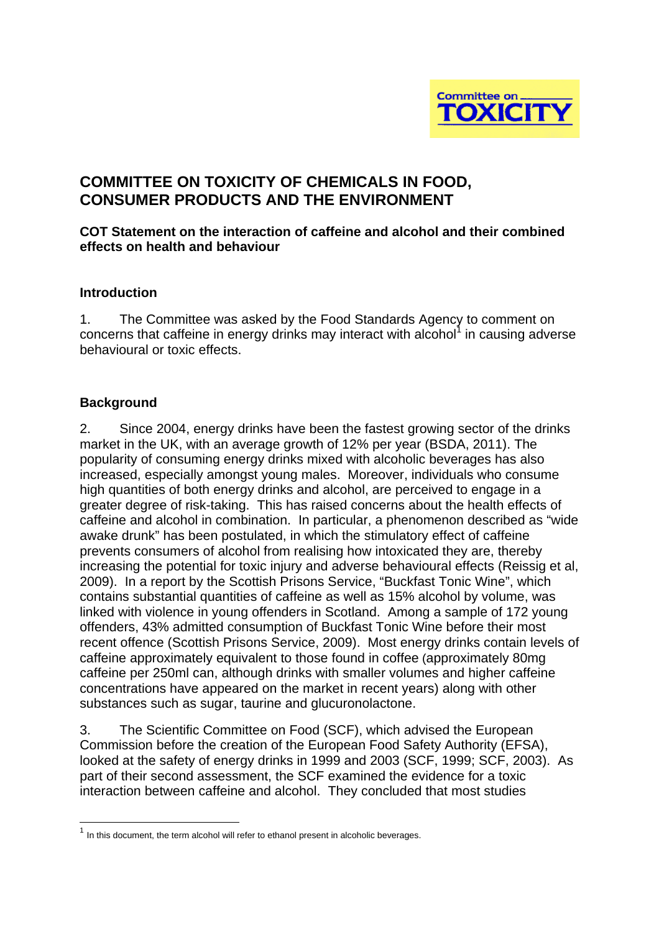

# **COMMITTEE ON TOXICITY OF CHEMICALS IN FOOD, CONSUMER PRODUCTS AND THE ENVIRONMENT**

#### **COT Statement on the interaction of caffeine and alcohol and their combined effects on health and behaviour**

#### **Introduction**

1. The Committee was asked by the Food Standards Agency to comment on concerns that caffeine in energy drinks may interact with alcohol $1$  in causing adverse behavioural or toxic effects.

#### **Background**

2. Since 2004, energy drinks have been the fastest growing sector of the drinks market in the UK, with an average growth of 12% per year (BSDA, 2011). The popularity of consuming energy drinks mixed with alcoholic beverages has also increased, especially amongst young males. Moreover, individuals who consume high quantities of both energy drinks and alcohol, are perceived to engage in a greater degree of risk-taking. This has raised concerns about the health effects of caffeine and alcohol in combination. In particular, a phenomenon described as "wide awake drunk" has been postulated, in which the stimulatory effect of caffeine prevents consumers of alcohol from realising how intoxicated they are, thereby increasing the potential for toxic injury and adverse behavioural effects (Reissig et al, 2009). In a report by the Scottish Prisons Service, "Buckfast Tonic Wine", which contains substantial quantities of caffeine as well as 15% alcohol by volume, was linked with violence in young offenders in Scotland. Among a sample of 172 young offenders, 43% admitted consumption of Buckfast Tonic Wine before their most recent offence (Scottish Prisons Service, 2009). Most energy drinks contain levels of caffeine approximately equivalent to those found in coffee (approximately 80mg caffeine per 250ml can, although drinks with smaller volumes and higher caffeine concentrations have appeared on the market in recent years) along with other substances such as sugar, taurine and glucuronolactone.

3. The Scientific Committee on Food (SCF), which advised the European Commission before the creation of the European Food Safety Authority (EFSA), looked at the safety of energy drinks in 1999 and 2003 (SCF, 1999; SCF, 2003). As part of their second assessment, the SCF examined the evidence for a toxic interaction between caffeine and alcohol. They concluded that most studies

 $1$  In this document, the term alcohol will refer to ethanol present in alcoholic beverages.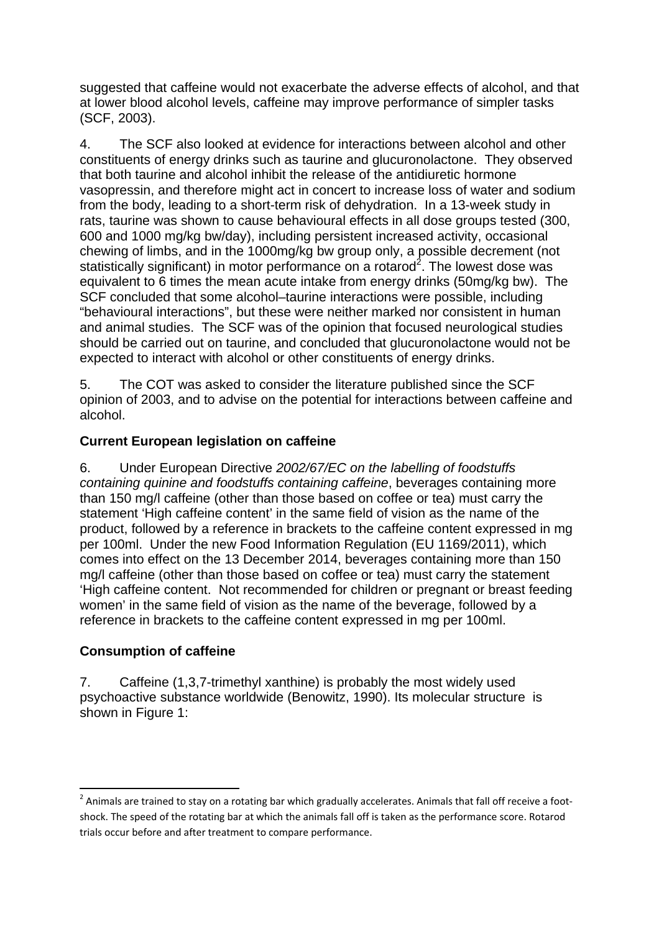suggested that caffeine would not exacerbate the adverse effects of alcohol, and that at lower blood alcohol levels, caffeine may improve performance of simpler tasks (SCF, 2003).

4. The SCF also looked at evidence for interactions between alcohol and other constituents of energy drinks such as taurine and glucuronolactone. They observed that both taurine and alcohol inhibit the release of the antidiuretic hormone vasopressin, and therefore might act in concert to increase loss of water and sodium from the body, leading to a short-term risk of dehydration. In a 13-week study in rats, taurine was shown to cause behavioural effects in all dose groups tested (300, 600 and 1000 mg/kg bw/day), including persistent increased activity, occasional chewing of limbs, and in the 1000mg/kg bw group only, a possible decrement (not statistically significant) in motor performance on a rotarod<sup>2</sup>. The lowest dose was equivalent to 6 times the mean acute intake from energy drinks (50mg/kg bw). The SCF concluded that some alcohol–taurine interactions were possible, including "behavioural interactions", but these were neither marked nor consistent in human and animal studies. The SCF was of the opinion that focused neurological studies should be carried out on taurine, and concluded that glucuronolactone would not be expected to interact with alcohol or other constituents of energy drinks.

5. The COT was asked to consider the literature published since the SCF opinion of 2003, and to advise on the potential for interactions between caffeine and alcohol.

# **Current European legislation on caffeine**

6. Under European Directive *2002/67/EC on the labelling of foodstuffs containing quinine and foodstuffs containing caffeine*, beverages containing more than 150 mg/l caffeine (other than those based on coffee or tea) must carry the statement 'High caffeine content' in the same field of vision as the name of the product, followed by a reference in brackets to the caffeine content expressed in mg per 100ml. Under the new Food Information Regulation (EU 1169/2011), which comes into effect on the 13 December 2014, beverages containing more than 150 mg/l caffeine (other than those based on coffee or tea) must carry the statement 'High caffeine content. Not recommended for children or pregnant or breast feeding women' in the same field of vision as the name of the beverage, followed by a reference in brackets to the caffeine content expressed in mg per 100ml.

# **Consumption of caffeine**

7. Caffeine (1,3,7-trimethyl xanthine) is probably the most widely used psychoactive substance worldwide (Benowitz, 1990). Its molecular structure is shown in Figure 1:

<sup>&</sup>lt;sup>2</sup> Animals are trained to stay on a rotating bar which gradually accelerates. Animals that fall off receive a footshock. The speed of the rotating bar at which the animals fall off is taken as the performance score. Rotarod trials occur before and after treatment to compare performance.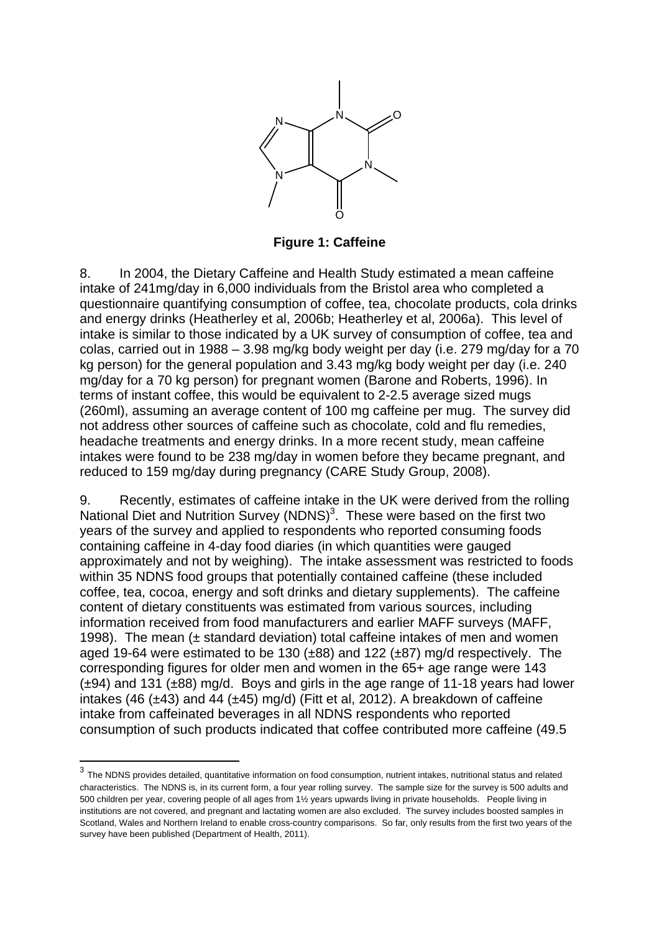

**Figure 1: Caffeine** 

8. In 2004, the Dietary Caffeine and Health Study estimated a mean caffeine intake of 241mg/day in 6,000 individuals from the Bristol area who completed a questionnaire quantifying consumption of coffee, tea, chocolate products, cola drinks and energy drinks (Heatherley et al, 2006b; Heatherley et al, 2006a). This level of intake is similar to those indicated by a UK survey of consumption of coffee, tea and colas, carried out in 1988 – 3.98 mg/kg body weight per day (i.e. 279 mg/day for a 70 kg person) for the general population and 3.43 mg/kg body weight per day (i.e. 240 mg/day for a 70 kg person) for pregnant women (Barone and Roberts, 1996). In terms of instant coffee, this would be equivalent to 2-2.5 average sized mugs (260ml), assuming an average content of 100 mg caffeine per mug. The survey did not address other sources of caffeine such as chocolate, cold and flu remedies, headache treatments and energy drinks. In a more recent study, mean caffeine intakes were found to be 238 mg/day in women before they became pregnant, and reduced to 159 mg/day during pregnancy (CARE Study Group, 2008).

9. Recently, estimates of caffeine intake in the UK were derived from the rolling National Diet and Nutrition Survey (NDNS)<sup>3</sup>. These were based on the first two years of the survey and applied to respondents who reported consuming foods containing caffeine in 4-day food diaries (in which quantities were gauged approximately and not by weighing). The intake assessment was restricted to foods within 35 NDNS food groups that potentially contained caffeine (these included coffee, tea, cocoa, energy and soft drinks and dietary supplements). The caffeine content of dietary constituents was estimated from various sources, including information received from food manufacturers and earlier MAFF surveys (MAFF, 1998). The mean (± standard deviation) total caffeine intakes of men and women aged 19-64 were estimated to be 130 (±88) and 122 (±87) mg/d respectively. The corresponding figures for older men and women in the 65+ age range were 143 (±94) and 131 (±88) mg/d. Boys and girls in the age range of 11-18 years had lower intakes (46 ( $\pm$ 43) and 44 ( $\pm$ 45) mg/d) (Fitt et al. 2012). A breakdown of caffeine intake from caffeinated beverages in all NDNS respondents who reported consumption of such products indicated that coffee contributed more caffeine (49.5

 $^3$  The NDNS provides detailed, quantitative information on food consumption, nutrient intakes, nutritional status and related characteristics. The NDNS is, in its current form, a four year rolling survey. The sample size for the survey is 500 adults and 500 children per year, covering people of all ages from 1½ years upwards living in private households. People living in institutions are not covered, and pregnant and lactating women are also excluded. The survey includes boosted samples in Scotland, Wales and Northern Ireland to enable cross-country comparisons. So far, only results from the first two years of the survey have been published (Department of Health, 2011).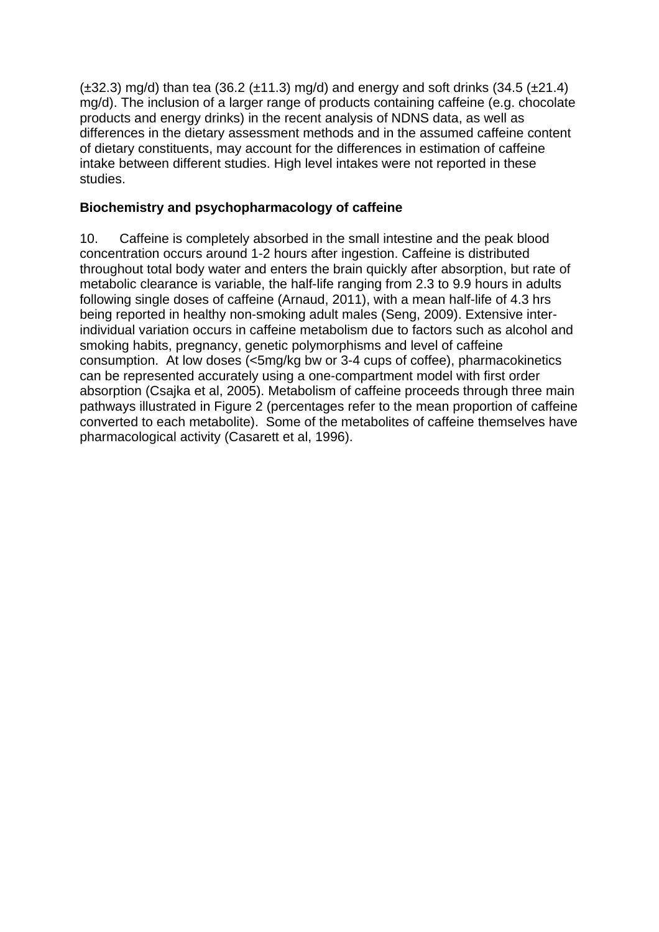$(\pm 32.3)$  mg/d) than tea (36.2  $(\pm 11.3)$  mg/d) and energy and soft drinks (34.5  $(\pm 21.4)$ mg/d). The inclusion of a larger range of products containing caffeine (e.g. chocolate products and energy drinks) in the recent analysis of NDNS data, as well as differences in the dietary assessment methods and in the assumed caffeine content of dietary constituents, may account for the differences in estimation of caffeine intake between different studies. High level intakes were not reported in these studies.

# **Biochemistry and psychopharmacology of caffeine**

10. Caffeine is completely absorbed in the small intestine and the peak blood concentration occurs around 1-2 hours after ingestion. Caffeine is distributed throughout total body water and enters the brain quickly after absorption, but rate of metabolic clearance is variable, the half-life ranging from 2.3 to 9.9 hours in adults following single doses of caffeine (Arnaud, 2011), with a mean half-life of 4.3 hrs being reported in healthy non-smoking adult males (Seng, 2009). Extensive interindividual variation occurs in caffeine metabolism due to factors such as alcohol and smoking habits, pregnancy, genetic polymorphisms and level of caffeine consumption. At low doses (<5mg/kg bw or 3-4 cups of coffee), pharmacokinetics can be represented accurately using a one-compartment model with first order absorption (Csajka et al, 2005). Metabolism of caffeine proceeds through three main pathways illustrated in Figure 2 (percentages refer to the mean proportion of caffeine converted to each metabolite). Some of the metabolites of caffeine themselves have pharmacological activity (Casarett et al, 1996).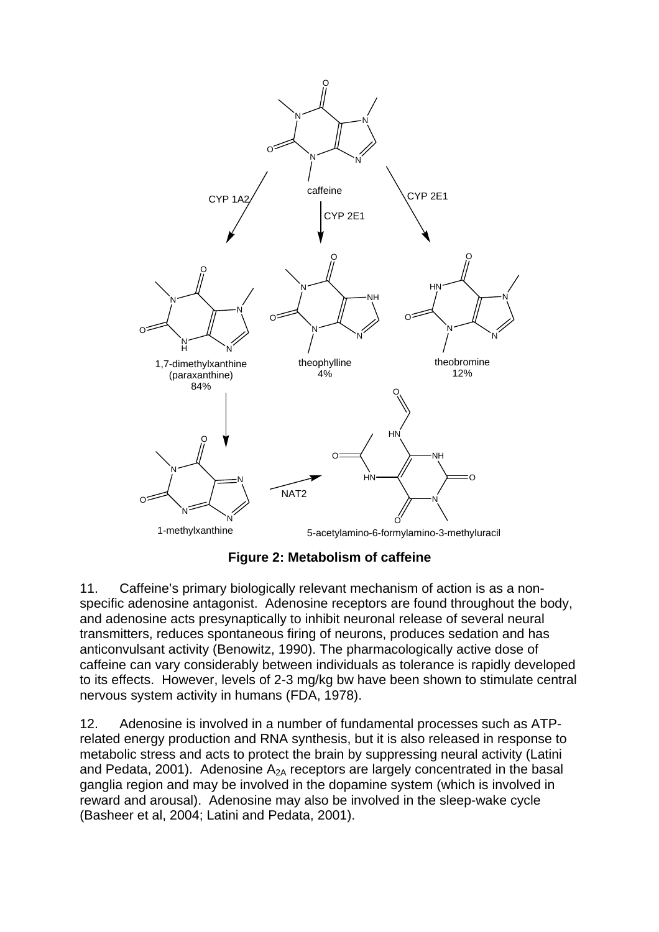

**Figure 2: Metabolism of caffeine** 

11. Caffeine's primary biologically relevant mechanism of action is as a nonspecific adenosine antagonist. Adenosine receptors are found throughout the body, and adenosine acts presynaptically to inhibit neuronal release of several neural transmitters, reduces spontaneous firing of neurons, produces sedation and has anticonvulsant activity (Benowitz, 1990). The pharmacologically active dose of caffeine can vary considerably between individuals as tolerance is rapidly developed to its effects. However, levels of 2-3 mg/kg bw have been shown to stimulate central nervous system activity in humans (FDA, 1978).

12. Adenosine is involved in a number of fundamental processes such as ATPrelated energy production and RNA synthesis, but it is also released in response to metabolic stress and acts to protect the brain by suppressing neural activity (Latini and Pedata, 2001). Adenosine  $A_{2A}$  receptors are largely concentrated in the basal ganglia region and may be involved in the dopamine system (which is involved in reward and arousal). Adenosine may also be involved in the sleep-wake cycle (Basheer et al, 2004; Latini and Pedata, 2001).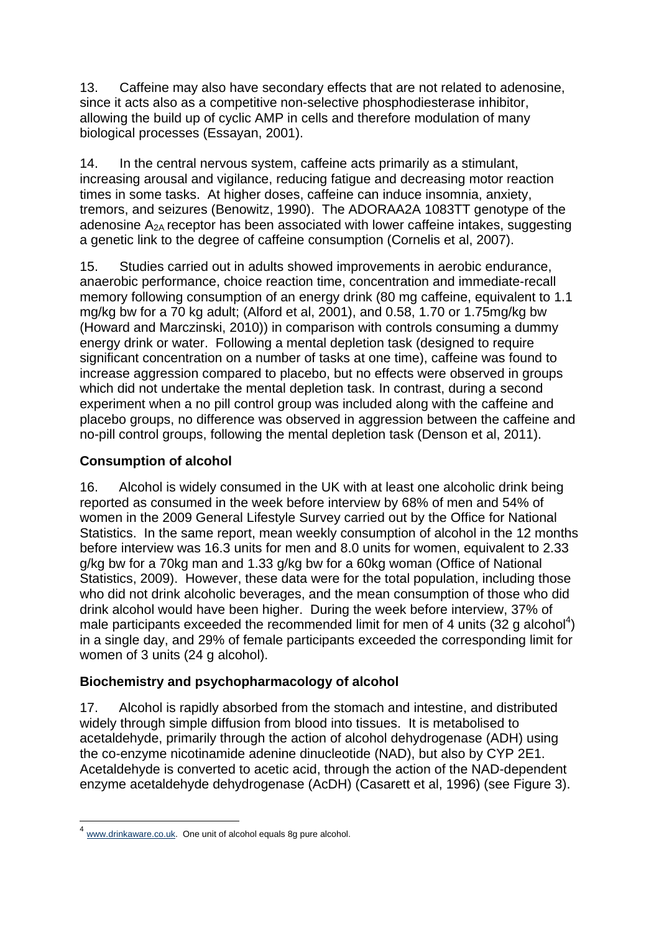13. Caffeine may also have secondary effects that are not related to adenosine, since it acts also as a competitive non-selective phosphodiesterase inhibitor, allowing the build up of cyclic AMP in cells and therefore modulation of many biological processes (Essayan, 2001).

14. In the central nervous system, caffeine acts primarily as a stimulant, increasing arousal and vigilance, reducing fatigue and decreasing motor reaction times in some tasks. At higher doses, caffeine can induce insomnia, anxiety, tremors, and seizures (Benowitz, 1990). The ADORAA2A 1083TT genotype of the adenosine  $A_{2A}$  receptor has been associated with lower caffeine intakes, suggesting a genetic link to the degree of caffeine consumption (Cornelis et al, 2007).

15. Studies carried out in adults showed improvements in aerobic endurance, anaerobic performance, choice reaction time, concentration and immediate-recall memory following consumption of an energy drink (80 mg caffeine, equivalent to 1.1 mg/kg bw for a 70 kg adult; (Alford et al, 2001), and 0.58, 1.70 or 1.75mg/kg bw (Howard and Marczinski, 2010)) in comparison with controls consuming a dummy energy drink or water. Following a mental depletion task (designed to require significant concentration on a number of tasks at one time), caffeine was found to increase aggression compared to placebo, but no effects were observed in groups which did not undertake the mental depletion task. In contrast, during a second experiment when a no pill control group was included along with the caffeine and placebo groups, no difference was observed in aggression between the caffeine and no-pill control groups, following the mental depletion task (Denson et al, 2011).

# **Consumption of alcohol**

16. Alcohol is widely consumed in the UK with at least one alcoholic drink being reported as consumed in the week before interview by 68% of men and 54% of women in the 2009 General Lifestyle Survey carried out by the Office for National Statistics. In the same report, mean weekly consumption of alcohol in the 12 months before interview was 16.3 units for men and 8.0 units for women, equivalent to 2.33 g/kg bw for a 70kg man and 1.33 g/kg bw for a 60kg woman (Office of National Statistics, 2009). However, these data were for the total population, including those who did not drink alcoholic beverages, and the mean consumption of those who did drink alcohol would have been higher. During the week before interview, 37% of male participants exceeded the recommended limit for men of 4 units (32 g alcohol<sup>4</sup>) in a single day, and 29% of female participants exceeded the corresponding limit for women of 3 units (24 g alcohol).

# **Biochemistry and psychopharmacology of alcohol**

17. Alcohol is rapidly absorbed from the stomach and intestine, and distributed widely through simple diffusion from blood into tissues. It is metabolised to acetaldehyde, primarily through the action of alcohol dehydrogenase (ADH) using the co-enzyme nicotinamide adenine dinucleotide (NAD), but also by CYP 2E1. Acetaldehyde is converted to acetic acid, through the action of the NAD-dependent enzyme acetaldehyde dehydrogenase (AcDH) (Casarett et al, 1996) (see Figure 3).

<u> 1989 - Andrea Brand, Amerikaansk politiker (</u>

 $4 \overline{\text{www.drinkaware.co.uk}}$ . One unit of alcohol equals 8g pure alcohol.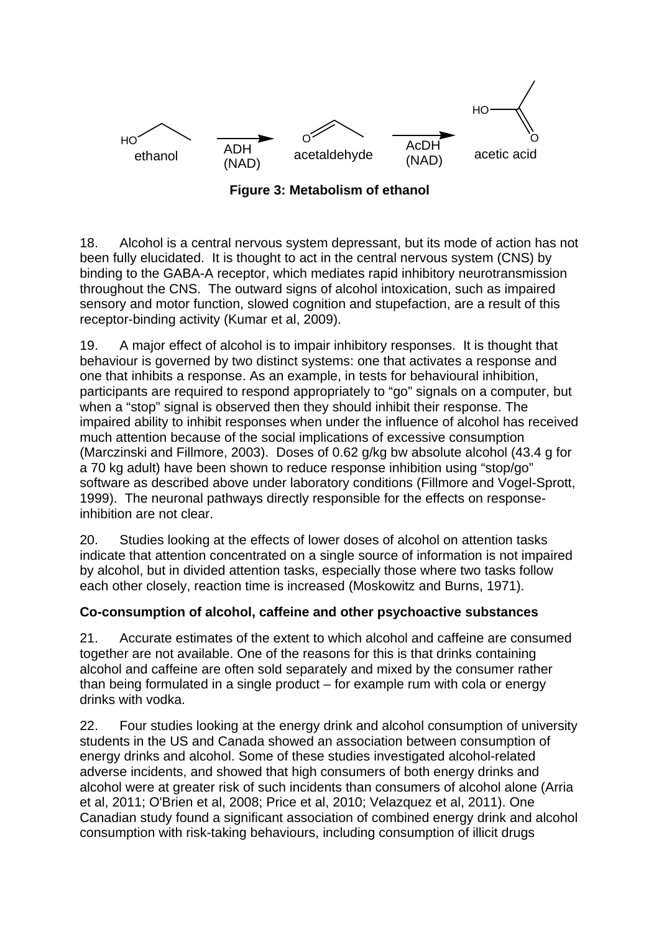

**Figure 3: Metabolism of ethanol**

18. Alcohol is a central nervous system depressant, but its mode of action has not been fully elucidated. It is thought to act in the central nervous system (CNS) by binding to the GABA-A receptor, which mediates rapid inhibitory neurotransmission throughout the CNS. The outward signs of alcohol intoxication, such as impaired sensory and motor function, slowed cognition and stupefaction, are a result of this receptor-binding activity (Kumar et al, 2009).

19. A major effect of alcohol is to impair inhibitory responses. It is thought that behaviour is governed by two distinct systems: one that activates a response and one that inhibits a response. As an example, in tests for behavioural inhibition, participants are required to respond appropriately to "go" signals on a computer, but when a "stop" signal is observed then they should inhibit their response. The impaired ability to inhibit responses when under the influence of alcohol has received much attention because of the social implications of excessive consumption (Marczinski and Fillmore, 2003). Doses of 0.62 g/kg bw absolute alcohol (43.4 g for a 70 kg adult) have been shown to reduce response inhibition using "stop/go" software as described above under laboratory conditions (Fillmore and Vogel-Sprott, 1999). The neuronal pathways directly responsible for the effects on responseinhibition are not clear.

20. Studies looking at the effects of lower doses of alcohol on attention tasks indicate that attention concentrated on a single source of information is not impaired by alcohol, but in divided attention tasks, especially those where two tasks follow each other closely, reaction time is increased (Moskowitz and Burns, 1971).

# **Co-consumption of alcohol, caffeine and other psychoactive substances**

21. Accurate estimates of the extent to which alcohol and caffeine are consumed together are not available. One of the reasons for this is that drinks containing alcohol and caffeine are often sold separately and mixed by the consumer rather than being formulated in a single product – for example rum with cola or energy drinks with vodka.

22. Four studies looking at the energy drink and alcohol consumption of university students in the US and Canada showed an association between consumption of energy drinks and alcohol. Some of these studies investigated alcohol-related adverse incidents, and showed that high consumers of both energy drinks and alcohol were at greater risk of such incidents than consumers of alcohol alone (Arria et al, 2011; O'Brien et al, 2008; Price et al, 2010; Velazquez et al, 2011). One Canadian study found a significant association of combined energy drink and alcohol consumption with risk-taking behaviours, including consumption of illicit drugs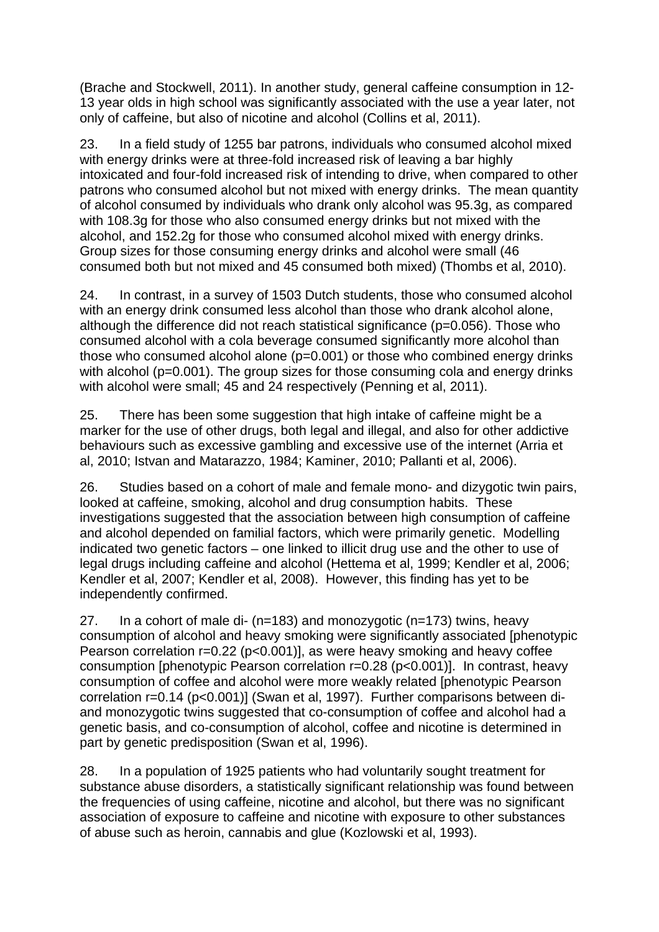(Brache and Stockwell, 2011). In another study, general caffeine consumption in 12- 13 year olds in high school was significantly associated with the use a year later, not only of caffeine, but also of nicotine and alcohol (Collins et al, 2011).

23. In a field study of 1255 bar patrons, individuals who consumed alcohol mixed with energy drinks were at three-fold increased risk of leaving a bar highly intoxicated and four-fold increased risk of intending to drive, when compared to other patrons who consumed alcohol but not mixed with energy drinks. The mean quantity of alcohol consumed by individuals who drank only alcohol was 95.3g, as compared with 108.3g for those who also consumed energy drinks but not mixed with the alcohol, and 152.2g for those who consumed alcohol mixed with energy drinks. Group sizes for those consuming energy drinks and alcohol were small (46 consumed both but not mixed and 45 consumed both mixed) (Thombs et al, 2010).

24. In contrast, in a survey of 1503 Dutch students, those who consumed alcohol with an energy drink consumed less alcohol than those who drank alcohol alone, although the difference did not reach statistical significance (p=0.056). Those who consumed alcohol with a cola beverage consumed significantly more alcohol than those who consumed alcohol alone (p=0.001) or those who combined energy drinks with alcohol (p=0.001). The group sizes for those consuming cola and energy drinks with alcohol were small; 45 and 24 respectively (Penning et al, 2011).

25. There has been some suggestion that high intake of caffeine might be a marker for the use of other drugs, both legal and illegal, and also for other addictive behaviours such as excessive gambling and excessive use of the internet (Arria et al, 2010; Istvan and Matarazzo, 1984; Kaminer, 2010; Pallanti et al, 2006).

26. Studies based on a cohort of male and female mono- and dizygotic twin pairs, looked at caffeine, smoking, alcohol and drug consumption habits. These investigations suggested that the association between high consumption of caffeine and alcohol depended on familial factors, which were primarily genetic. Modelling indicated two genetic factors – one linked to illicit drug use and the other to use of legal drugs including caffeine and alcohol (Hettema et al, 1999; Kendler et al, 2006; Kendler et al, 2007; Kendler et al, 2008). However, this finding has yet to be independently confirmed.

27. In a cohort of male di- (n=183) and monozygotic (n=173) twins, heavy consumption of alcohol and heavy smoking were significantly associated [phenotypic Pearson correlation r=0.22 (p<0.001)], as were heavy smoking and heavy coffee consumption [phenotypic Pearson correlation r=0.28 (p<0.001)]. In contrast, heavy consumption of coffee and alcohol were more weakly related [phenotypic Pearson correlation r=0.14 (p<0.001)] (Swan et al, 1997). Further comparisons between diand monozygotic twins suggested that co-consumption of coffee and alcohol had a genetic basis, and co-consumption of alcohol, coffee and nicotine is determined in part by genetic predisposition (Swan et al, 1996).

28. In a population of 1925 patients who had voluntarily sought treatment for substance abuse disorders, a statistically significant relationship was found between the frequencies of using caffeine, nicotine and alcohol, but there was no significant association of exposure to caffeine and nicotine with exposure to other substances of abuse such as heroin, cannabis and glue (Kozlowski et al, 1993).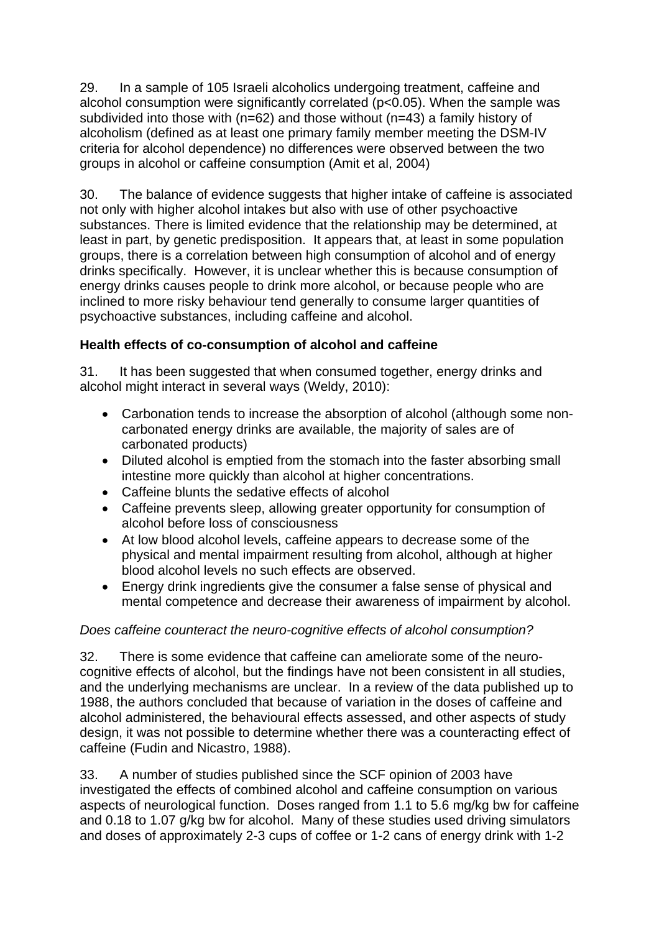29. In a sample of 105 Israeli alcoholics undergoing treatment, caffeine and alcohol consumption were significantly correlated (p<0.05). When the sample was subdivided into those with (n=62) and those without (n=43) a family history of alcoholism (defined as at least one primary family member meeting the DSM-IV criteria for alcohol dependence) no differences were observed between the two groups in alcohol or caffeine consumption (Amit et al, 2004)

30. The balance of evidence suggests that higher intake of caffeine is associated not only with higher alcohol intakes but also with use of other psychoactive substances. There is limited evidence that the relationship may be determined, at least in part, by genetic predisposition. It appears that, at least in some population groups, there is a correlation between high consumption of alcohol and of energy drinks specifically. However, it is unclear whether this is because consumption of energy drinks causes people to drink more alcohol, or because people who are inclined to more risky behaviour tend generally to consume larger quantities of psychoactive substances, including caffeine and alcohol.

# **Health effects of co-consumption of alcohol and caffeine**

31. It has been suggested that when consumed together, energy drinks and alcohol might interact in several ways (Weldy, 2010):

- Carbonation tends to increase the absorption of alcohol (although some noncarbonated energy drinks are available, the majority of sales are of carbonated products)
- Diluted alcohol is emptied from the stomach into the faster absorbing small intestine more quickly than alcohol at higher concentrations.
- Caffeine blunts the sedative effects of alcohol
- Caffeine prevents sleep, allowing greater opportunity for consumption of alcohol before loss of consciousness
- At low blood alcohol levels, caffeine appears to decrease some of the physical and mental impairment resulting from alcohol, although at higher blood alcohol levels no such effects are observed.
- Energy drink ingredients give the consumer a false sense of physical and mental competence and decrease their awareness of impairment by alcohol.

# *Does caffeine counteract the neuro-cognitive effects of alcohol consumption?*

32. There is some evidence that caffeine can ameliorate some of the neurocognitive effects of alcohol, but the findings have not been consistent in all studies, and the underlying mechanisms are unclear. In a review of the data published up to 1988, the authors concluded that because of variation in the doses of caffeine and alcohol administered, the behavioural effects assessed, and other aspects of study design, it was not possible to determine whether there was a counteracting effect of caffeine (Fudin and Nicastro, 1988).

33. A number of studies published since the SCF opinion of 2003 have investigated the effects of combined alcohol and caffeine consumption on various aspects of neurological function. Doses ranged from 1.1 to 5.6 mg/kg bw for caffeine and 0.18 to 1.07 g/kg bw for alcohol. Many of these studies used driving simulators and doses of approximately 2-3 cups of coffee or 1-2 cans of energy drink with 1-2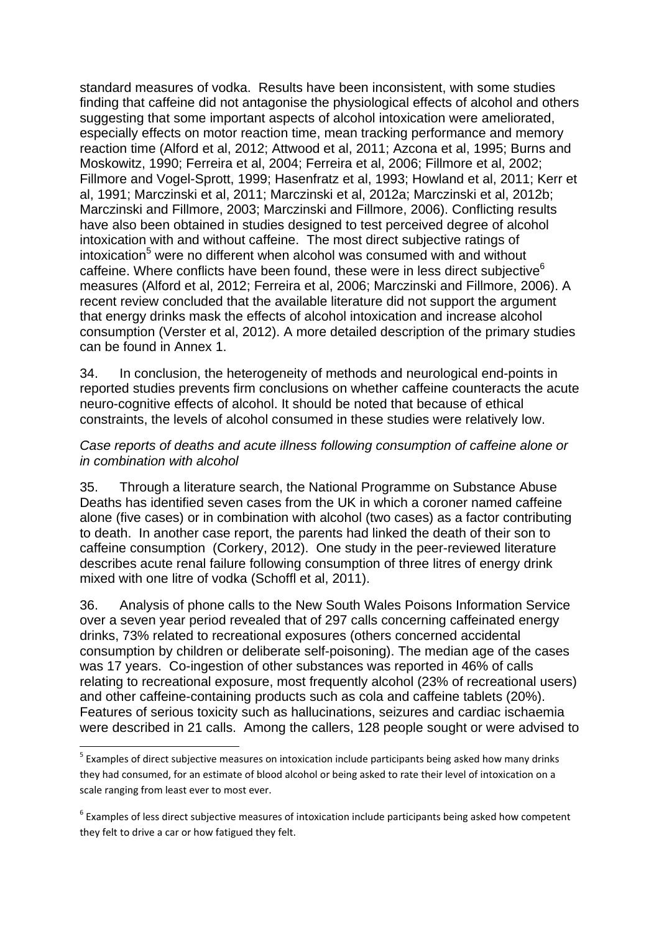standard measures of vodka. Results have been inconsistent, with some studies finding that caffeine did not antagonise the physiological effects of alcohol and others suggesting that some important aspects of alcohol intoxication were ameliorated, especially effects on motor reaction time, mean tracking performance and memory reaction time (Alford et al, 2012; Attwood et al, 2011; Azcona et al, 1995; Burns and Moskowitz, 1990; Ferreira et al, 2004; Ferreira et al, 2006; Fillmore et al, 2002; Fillmore and Vogel-Sprott, 1999; Hasenfratz et al, 1993; Howland et al, 2011; Kerr et al, 1991; Marczinski et al, 2011; Marczinski et al, 2012a; Marczinski et al, 2012b; Marczinski and Fillmore, 2003; Marczinski and Fillmore, 2006). Conflicting results have also been obtained in studies designed to test perceived degree of alcohol intoxication with and without caffeine. The most direct subjective ratings of intoxication<sup>5</sup> were no different when alcohol was consumed with and without caffeine. Where conflicts have been found, these were in less direct subjective<sup>6</sup> measures (Alford et al, 2012; Ferreira et al, 2006; Marczinski and Fillmore, 2006). A recent review concluded that the available literature did not support the argument that energy drinks mask the effects of alcohol intoxication and increase alcohol consumption (Verster et al, 2012). A more detailed description of the primary studies can be found in Annex 1.

34. In conclusion, the heterogeneity of methods and neurological end-points in reported studies prevents firm conclusions on whether caffeine counteracts the acute neuro-cognitive effects of alcohol. It should be noted that because of ethical constraints, the levels of alcohol consumed in these studies were relatively low.

#### *Case reports of deaths and acute illness following consumption of caffeine alone or in combination with alcohol*

35. Through a literature search, the National Programme on Substance Abuse Deaths has identified seven cases from the UK in which a coroner named caffeine alone (five cases) or in combination with alcohol (two cases) as a factor contributing to death. In another case report, the parents had linked the death of their son to caffeine consumption (Corkery, 2012). One study in the peer-reviewed literature describes acute renal failure following consumption of three litres of energy drink mixed with one litre of vodka (Schoffl et al, 2011).

36. Analysis of phone calls to the New South Wales Poisons Information Service over a seven year period revealed that of 297 calls concerning caffeinated energy drinks, 73% related to recreational exposures (others concerned accidental consumption by children or deliberate self-poisoning). The median age of the cases was 17 years. Co-ingestion of other substances was reported in 46% of calls relating to recreational exposure, most frequently alcohol (23% of recreational users) and other caffeine-containing products such as cola and caffeine tablets (20%). Features of serious toxicity such as hallucinations, seizures and cardiac ischaemia were described in 21 calls. Among the callers, 128 people sought or were advised to

 $<sup>5</sup>$  Examples of direct subjective measures on intoxication include participants being asked how many drinks</sup> they had consumed, for an estimate of blood alcohol or being asked to rate their level of intoxication on a scale ranging from least ever to most ever.

<sup>&</sup>lt;sup>6</sup> Examples of less direct subjective measures of intoxication include participants being asked how competent they felt to drive a car or how fatigued they felt.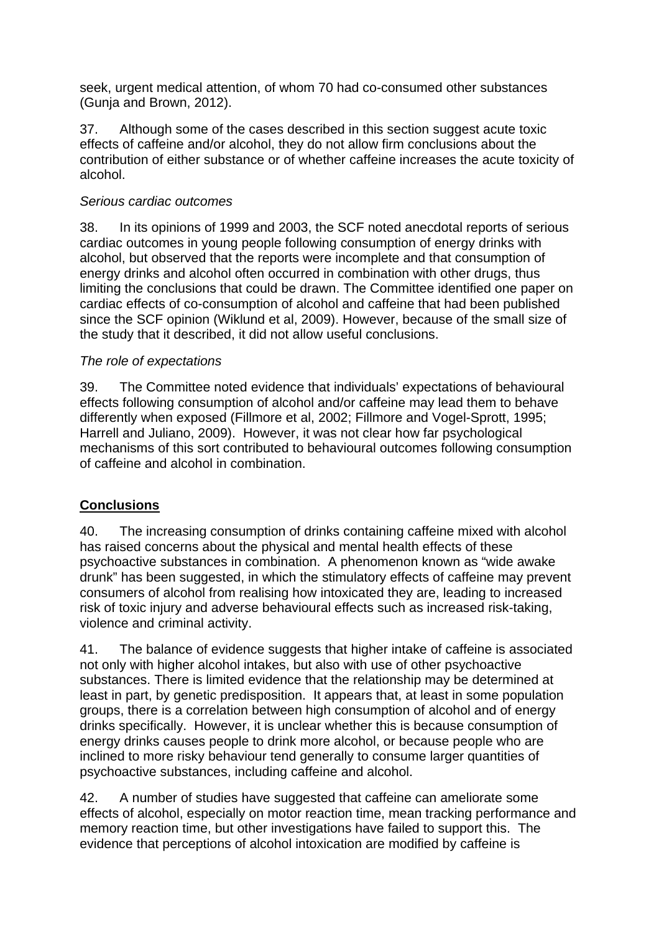seek, urgent medical attention, of whom 70 had co-consumed other substances (Gunja and Brown, 2012).

37. Although some of the cases described in this section suggest acute toxic effects of caffeine and/or alcohol, they do not allow firm conclusions about the contribution of either substance or of whether caffeine increases the acute toxicity of alcohol.

#### *Serious cardiac outcomes*

38. In its opinions of 1999 and 2003, the SCF noted anecdotal reports of serious cardiac outcomes in young people following consumption of energy drinks with alcohol, but observed that the reports were incomplete and that consumption of energy drinks and alcohol often occurred in combination with other drugs, thus limiting the conclusions that could be drawn. The Committee identified one paper on cardiac effects of co-consumption of alcohol and caffeine that had been published since the SCF opinion (Wiklund et al, 2009). However, because of the small size of the study that it described, it did not allow useful conclusions.

#### *The role of expectations*

39. The Committee noted evidence that individuals' expectations of behavioural effects following consumption of alcohol and/or caffeine may lead them to behave differently when exposed (Fillmore et al, 2002; Fillmore and Vogel-Sprott, 1995; Harrell and Juliano, 2009). However, it was not clear how far psychological mechanisms of this sort contributed to behavioural outcomes following consumption of caffeine and alcohol in combination.

# **Conclusions**

40. The increasing consumption of drinks containing caffeine mixed with alcohol has raised concerns about the physical and mental health effects of these psychoactive substances in combination. A phenomenon known as "wide awake drunk" has been suggested, in which the stimulatory effects of caffeine may prevent consumers of alcohol from realising how intoxicated they are, leading to increased risk of toxic injury and adverse behavioural effects such as increased risk-taking, violence and criminal activity.

41. The balance of evidence suggests that higher intake of caffeine is associated not only with higher alcohol intakes, but also with use of other psychoactive substances. There is limited evidence that the relationship may be determined at least in part, by genetic predisposition. It appears that, at least in some population groups, there is a correlation between high consumption of alcohol and of energy drinks specifically. However, it is unclear whether this is because consumption of energy drinks causes people to drink more alcohol, or because people who are inclined to more risky behaviour tend generally to consume larger quantities of psychoactive substances, including caffeine and alcohol.

42. A number of studies have suggested that caffeine can ameliorate some effects of alcohol, especially on motor reaction time, mean tracking performance and memory reaction time, but other investigations have failed to support this. The evidence that perceptions of alcohol intoxication are modified by caffeine is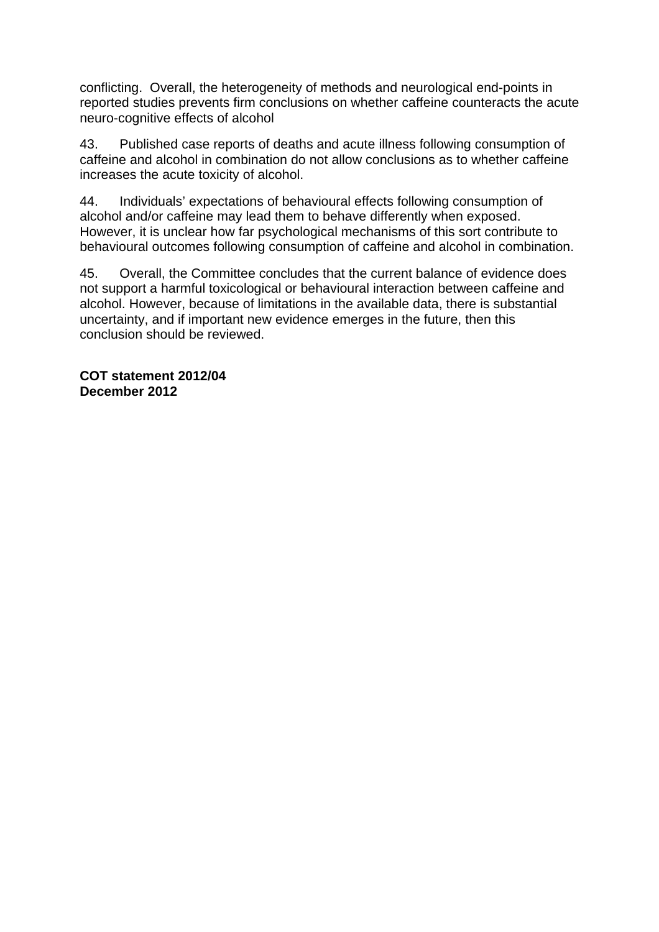conflicting. Overall, the heterogeneity of methods and neurological end-points in reported studies prevents firm conclusions on whether caffeine counteracts the acute neuro-cognitive effects of alcohol

43. Published case reports of deaths and acute illness following consumption of caffeine and alcohol in combination do not allow conclusions as to whether caffeine increases the acute toxicity of alcohol.

44. Individuals' expectations of behavioural effects following consumption of alcohol and/or caffeine may lead them to behave differently when exposed. However, it is unclear how far psychological mechanisms of this sort contribute to behavioural outcomes following consumption of caffeine and alcohol in combination.

45. Overall, the Committee concludes that the current balance of evidence does not support a harmful toxicological or behavioural interaction between caffeine and alcohol. However, because of limitations in the available data, there is substantial uncertainty, and if important new evidence emerges in the future, then this conclusion should be reviewed.

**COT statement 2012/04 December 2012**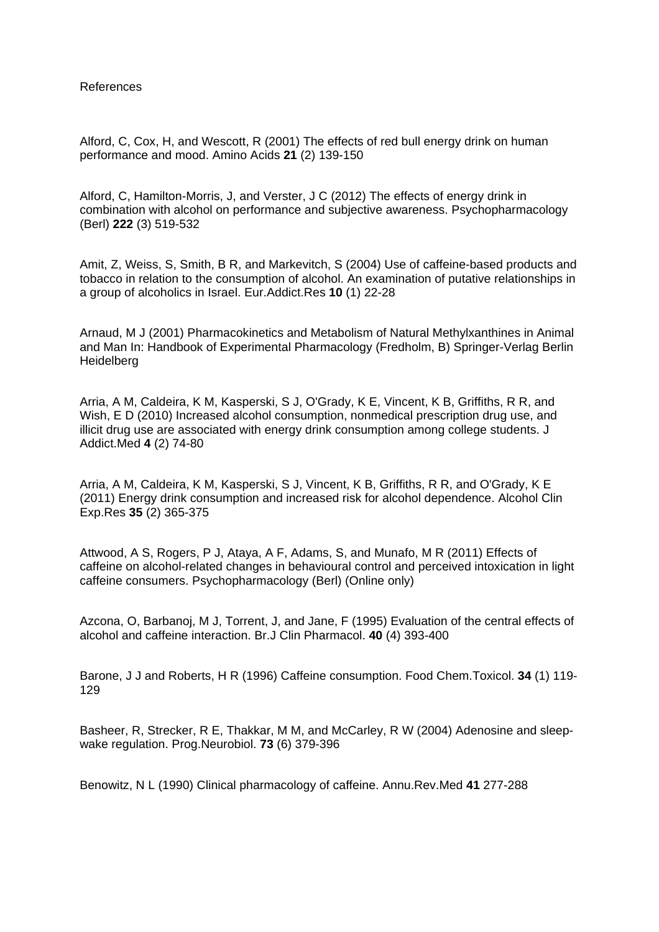References

Alford, C, Cox, H, and Wescott, R (2001) The effects of red bull energy drink on human performance and mood. Amino Acids **21** (2) 139-150

Alford, C, Hamilton-Morris, J, and Verster, J C (2012) The effects of energy drink in combination with alcohol on performance and subjective awareness. Psychopharmacology (Berl) **222** (3) 519-532

Amit, Z, Weiss, S, Smith, B R, and Markevitch, S (2004) Use of caffeine-based products and tobacco in relation to the consumption of alcohol. An examination of putative relationships in a group of alcoholics in Israel. Eur.Addict.Res **10** (1) 22-28

Arnaud, M J (2001) Pharmacokinetics and Metabolism of Natural Methylxanthines in Animal and Man In: Handbook of Experimental Pharmacology (Fredholm, B) Springer-Verlag Berlin **Heidelberg** 

Arria, A M, Caldeira, K M, Kasperski, S J, O'Grady, K E, Vincent, K B, Griffiths, R R, and Wish, E D (2010) Increased alcohol consumption, nonmedical prescription drug use, and illicit drug use are associated with energy drink consumption among college students. J Addict.Med **4** (2) 74-80

Arria, A M, Caldeira, K M, Kasperski, S J, Vincent, K B, Griffiths, R R, and O'Grady, K E (2011) Energy drink consumption and increased risk for alcohol dependence. Alcohol Clin Exp.Res **35** (2) 365-375

Attwood, A S, Rogers, P J, Ataya, A F, Adams, S, and Munafo, M R (2011) Effects of caffeine on alcohol-related changes in behavioural control and perceived intoxication in light caffeine consumers. Psychopharmacology (Berl) (Online only)

Azcona, O, Barbanoj, M J, Torrent, J, and Jane, F (1995) Evaluation of the central effects of alcohol and caffeine interaction. Br.J Clin Pharmacol. **40** (4) 393-400

Barone, J J and Roberts, H R (1996) Caffeine consumption. Food Chem.Toxicol. **34** (1) 119- 129

Basheer, R, Strecker, R E, Thakkar, M M, and McCarley, R W (2004) Adenosine and sleepwake regulation. Prog.Neurobiol. **73** (6) 379-396

Benowitz, N L (1990) Clinical pharmacology of caffeine. Annu.Rev.Med **41** 277-288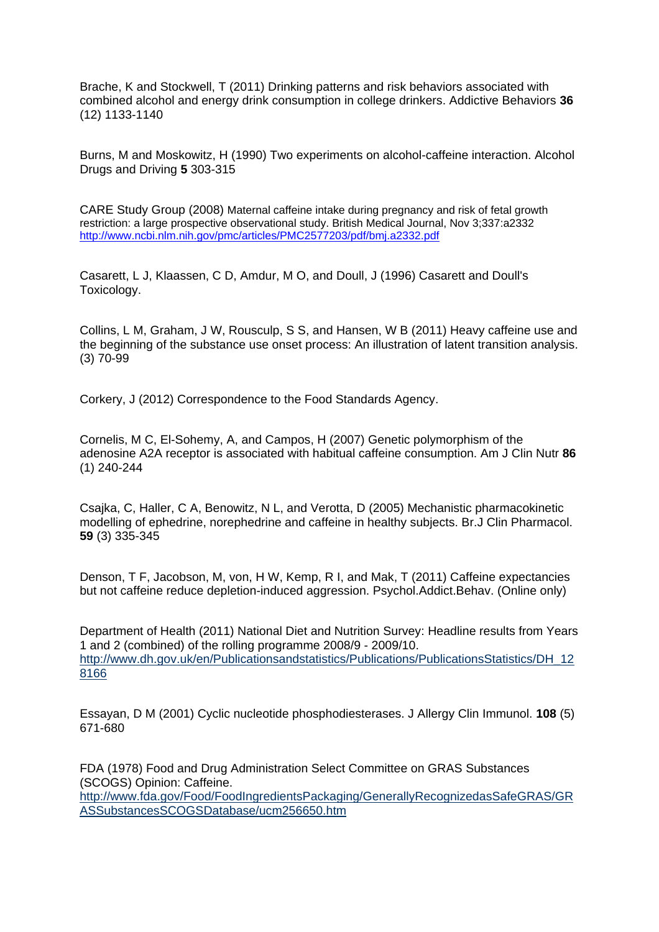Brache, K and Stockwell, T (2011) Drinking patterns and risk behaviors associated with combined alcohol and energy drink consumption in college drinkers. Addictive Behaviors **36** (12) 1133-1140

Burns, M and Moskowitz, H (1990) Two experiments on alcohol-caffeine interaction. Alcohol Drugs and Driving **5** 303-315

CARE Study Group (2008) Maternal caffeine intake during pregnancy and risk of fetal growth restriction: a large prospective observational study. British Medical Journal, Nov 3;337:a2332 http://www.ncbi.nlm.nih.gov/pmc/articles/PMC2577203/pdf/bmj.a2332.pdf

Casarett, L J, Klaassen, C D, Amdur, M O, and Doull, J (1996) Casarett and Doull's Toxicology.

Collins, L M, Graham, J W, Rousculp, S S, and Hansen, W B (2011) Heavy caffeine use and the beginning of the substance use onset process: An illustration of latent transition analysis. (3) 70-99

Corkery, J (2012) Correspondence to the Food Standards Agency.

Cornelis, M C, El-Sohemy, A, and Campos, H (2007) Genetic polymorphism of the adenosine A2A receptor is associated with habitual caffeine consumption. Am J Clin Nutr **86** (1) 240-244

Csajka, C, Haller, C A, Benowitz, N L, and Verotta, D (2005) Mechanistic pharmacokinetic modelling of ephedrine, norephedrine and caffeine in healthy subjects. Br.J Clin Pharmacol. **59** (3) 335-345

Denson, T F, Jacobson, M, von, H W, Kemp, R I, and Mak, T (2011) Caffeine expectancies but not caffeine reduce depletion-induced aggression. Psychol.Addict.Behav. (Online only)

Department of Health (2011) National Diet and Nutrition Survey: Headline results from Years 1 and 2 (combined) of the rolling programme 2008/9 - 2009/10. http://www.dh.gov.uk/en/Publicationsandstatistics/Publications/PublicationsStatistics/DH\_12 8166

Essayan, D M (2001) Cyclic nucleotide phosphodiesterases. J Allergy Clin Immunol. **108** (5) 671-680

FDA (1978) Food and Drug Administration Select Committee on GRAS Substances (SCOGS) Opinion: Caffeine. http://www.fda.gov/Food/FoodIngredientsPackaging/GenerallyRecognizedasSafeGRAS/GR ASSubstancesSCOGSDatabase/ucm256650.htm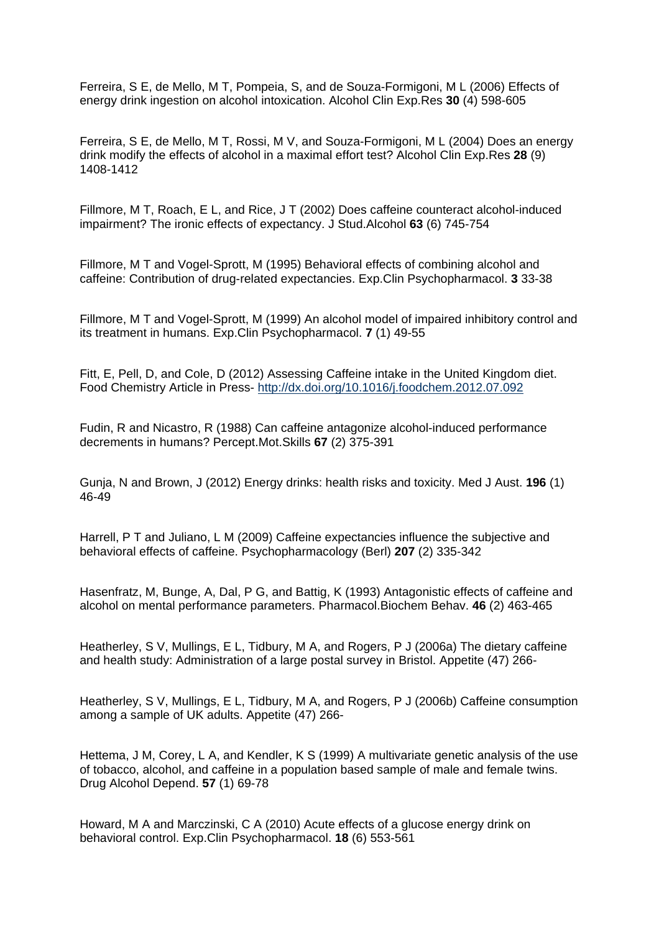Ferreira, S E, de Mello, M T, Pompeia, S, and de Souza-Formigoni, M L (2006) Effects of energy drink ingestion on alcohol intoxication. Alcohol Clin Exp.Res **30** (4) 598-605

Ferreira, S E, de Mello, M T, Rossi, M V, and Souza-Formigoni, M L (2004) Does an energy drink modify the effects of alcohol in a maximal effort test? Alcohol Clin Exp.Res **28** (9) 1408-1412

Fillmore, M T, Roach, E L, and Rice, J T (2002) Does caffeine counteract alcohol-induced impairment? The ironic effects of expectancy. J Stud.Alcohol **63** (6) 745-754

Fillmore, M T and Vogel-Sprott, M (1995) Behavioral effects of combining alcohol and caffeine: Contribution of drug-related expectancies. Exp.Clin Psychopharmacol. **3** 33-38

Fillmore, M T and Vogel-Sprott, M (1999) An alcohol model of impaired inhibitory control and its treatment in humans. Exp.Clin Psychopharmacol. **7** (1) 49-55

Fitt, E, Pell, D, and Cole, D (2012) Assessing Caffeine intake in the United Kingdom diet. Food Chemistry Article in Press- http://dx.doi.org/10.1016/j.foodchem.2012.07.092

Fudin, R and Nicastro, R (1988) Can caffeine antagonize alcohol-induced performance decrements in humans? Percept.Mot.Skills **67** (2) 375-391

Gunja, N and Brown, J (2012) Energy drinks: health risks and toxicity. Med J Aust. **196** (1) 46-49

Harrell, P T and Juliano, L M (2009) Caffeine expectancies influence the subjective and behavioral effects of caffeine. Psychopharmacology (Berl) **207** (2) 335-342

Hasenfratz, M, Bunge, A, Dal, P G, and Battig, K (1993) Antagonistic effects of caffeine and alcohol on mental performance parameters. Pharmacol.Biochem Behav. **46** (2) 463-465

Heatherley, S V, Mullings, E L, Tidbury, M A, and Rogers, P J (2006a) The dietary caffeine and health study: Administration of a large postal survey in Bristol. Appetite (47) 266-

Heatherley, S V, Mullings, E L, Tidbury, M A, and Rogers, P J (2006b) Caffeine consumption among a sample of UK adults. Appetite (47) 266-

Hettema, J M, Corey, L A, and Kendler, K S (1999) A multivariate genetic analysis of the use of tobacco, alcohol, and caffeine in a population based sample of male and female twins. Drug Alcohol Depend. **57** (1) 69-78

Howard, M A and Marczinski, C A (2010) Acute effects of a glucose energy drink on behavioral control. Exp.Clin Psychopharmacol. **18** (6) 553-561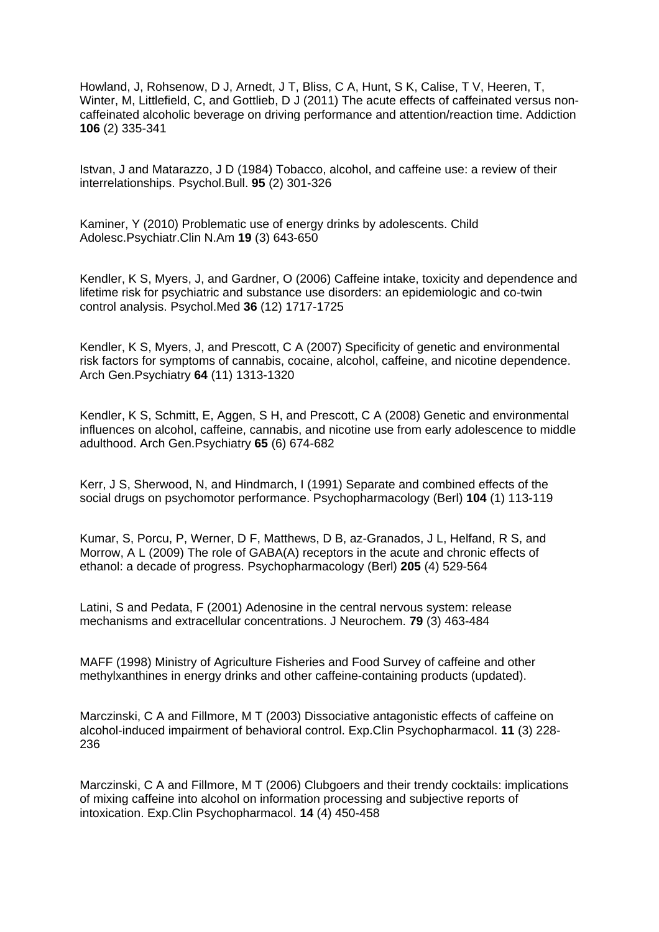Howland, J, Rohsenow, D J, Arnedt, J T, Bliss, C A, Hunt, S K, Calise, T V, Heeren, T, Winter, M, Littlefield, C, and Gottlieb, D J (2011) The acute effects of caffeinated versus noncaffeinated alcoholic beverage on driving performance and attention/reaction time. Addiction **106** (2) 335-341

Istvan, J and Matarazzo, J D (1984) Tobacco, alcohol, and caffeine use: a review of their interrelationships. Psychol.Bull. **95** (2) 301-326

Kaminer, Y (2010) Problematic use of energy drinks by adolescents. Child Adolesc.Psychiatr.Clin N.Am **19** (3) 643-650

Kendler, K S, Myers, J, and Gardner, O (2006) Caffeine intake, toxicity and dependence and lifetime risk for psychiatric and substance use disorders: an epidemiologic and co-twin control analysis. Psychol.Med **36** (12) 1717-1725

Kendler, K S, Myers, J, and Prescott, C A (2007) Specificity of genetic and environmental risk factors for symptoms of cannabis, cocaine, alcohol, caffeine, and nicotine dependence. Arch Gen.Psychiatry **64** (11) 1313-1320

Kendler, K S, Schmitt, E, Aggen, S H, and Prescott, C A (2008) Genetic and environmental influences on alcohol, caffeine, cannabis, and nicotine use from early adolescence to middle adulthood. Arch Gen.Psychiatry **65** (6) 674-682

Kerr, J S, Sherwood, N, and Hindmarch, I (1991) Separate and combined effects of the social drugs on psychomotor performance. Psychopharmacology (Berl) **104** (1) 113-119

Kumar, S, Porcu, P, Werner, D F, Matthews, D B, az-Granados, J L, Helfand, R S, and Morrow, A L (2009) The role of GABA(A) receptors in the acute and chronic effects of ethanol: a decade of progress. Psychopharmacology (Berl) **205** (4) 529-564

Latini, S and Pedata, F (2001) Adenosine in the central nervous system: release mechanisms and extracellular concentrations. J Neurochem. **79** (3) 463-484

MAFF (1998) Ministry of Agriculture Fisheries and Food Survey of caffeine and other methylxanthines in energy drinks and other caffeine-containing products (updated).

Marczinski, C A and Fillmore, M T (2003) Dissociative antagonistic effects of caffeine on alcohol-induced impairment of behavioral control. Exp.Clin Psychopharmacol. **11** (3) 228- 236

Marczinski, C A and Fillmore, M T (2006) Clubgoers and their trendy cocktails: implications of mixing caffeine into alcohol on information processing and subjective reports of intoxication. Exp.Clin Psychopharmacol. **14** (4) 450-458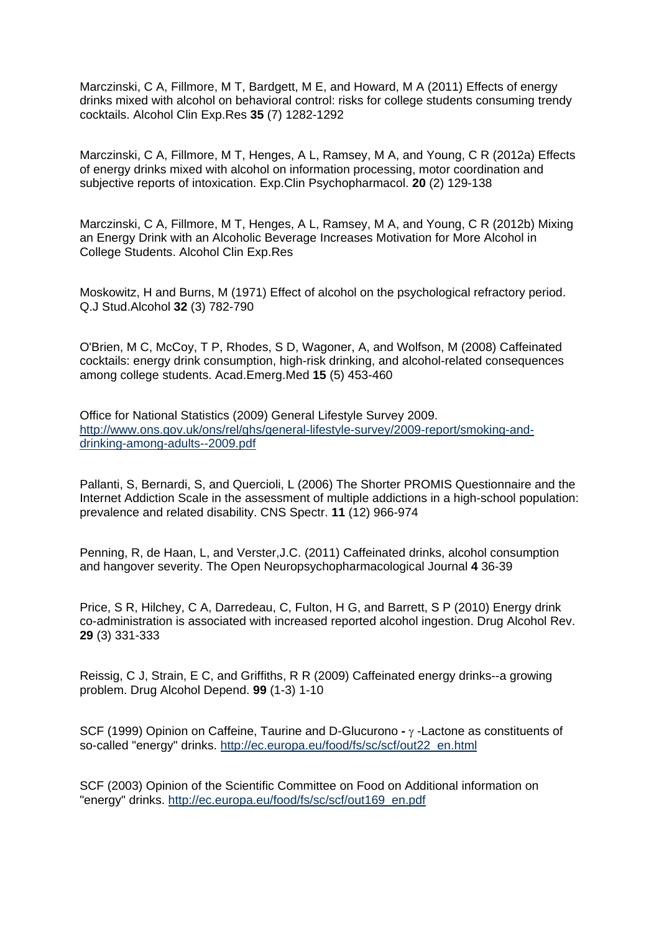Marczinski, C A, Fillmore, M T, Bardgett, M E, and Howard, M A (2011) Effects of energy drinks mixed with alcohol on behavioral control: risks for college students consuming trendy cocktails. Alcohol Clin Exp.Res **35** (7) 1282-1292

Marczinski, C A, Fillmore, M T, Henges, A L, Ramsey, M A, and Young, C R (2012a) Effects of energy drinks mixed with alcohol on information processing, motor coordination and subjective reports of intoxication. Exp.Clin Psychopharmacol. **20** (2) 129-138

Marczinski, C A, Fillmore, M T, Henges, A L, Ramsey, M A, and Young, C R (2012b) Mixing an Energy Drink with an Alcoholic Beverage Increases Motivation for More Alcohol in College Students. Alcohol Clin Exp.Res

Moskowitz, H and Burns, M (1971) Effect of alcohol on the psychological refractory period. Q.J Stud.Alcohol **32** (3) 782-790

O'Brien, M C, McCoy, T P, Rhodes, S D, Wagoner, A, and Wolfson, M (2008) Caffeinated cocktails: energy drink consumption, high-risk drinking, and alcohol-related consequences among college students. Acad.Emerg.Med **15** (5) 453-460

Office for National Statistics (2009) General Lifestyle Survey 2009. http://www.ons.gov.uk/ons/rel/ghs/general-lifestyle-survey/2009-report/smoking-anddrinking-among-adults--2009.pdf

Pallanti, S, Bernardi, S, and Quercioli, L (2006) The Shorter PROMIS Questionnaire and the Internet Addiction Scale in the assessment of multiple addictions in a high-school population: prevalence and related disability. CNS Spectr. **11** (12) 966-974

Penning, R, de Haan, L, and Verster,J.C. (2011) Caffeinated drinks, alcohol consumption and hangover severity. The Open Neuropsychopharmacological Journal **4** 36-39

Price, S R, Hilchey, C A, Darredeau, C, Fulton, H G, and Barrett, S P (2010) Energy drink co-administration is associated with increased reported alcohol ingestion. Drug Alcohol Rev. **29** (3) 331-333

Reissig, C J, Strain, E C, and Griffiths, R R (2009) Caffeinated energy drinks--a growing problem. Drug Alcohol Depend. **99** (1-3) 1-10

SCF (1999) Opinion on Caffeine, Taurine and D-Glucurono **-** γ -Lactone as constituents of so-called "energy" drinks. http://ec.europa.eu/food/fs/sc/scf/out22\_en.html

SCF (2003) Opinion of the Scientific Committee on Food on Additional information on "energy" drinks. http://ec.europa.eu/food/fs/sc/scf/out169\_en.pdf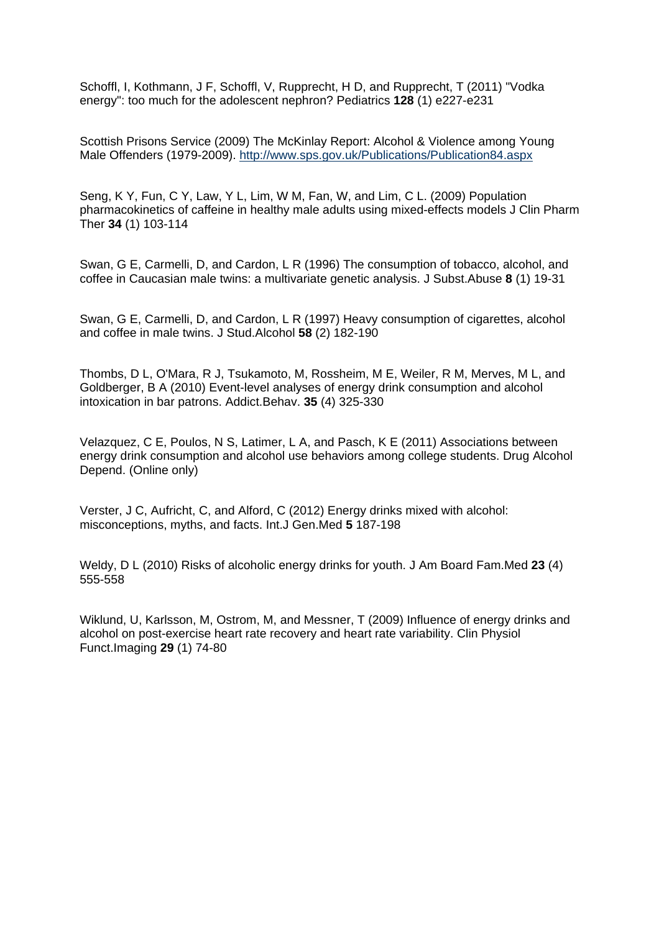Schoffl, I, Kothmann, J F, Schoffl, V, Rupprecht, H D, and Rupprecht, T (2011) "Vodka energy": too much for the adolescent nephron? Pediatrics **128** (1) e227-e231

Scottish Prisons Service (2009) The McKinlay Report: Alcohol & Violence among Young Male Offenders (1979-2009). http://www.sps.gov.uk/Publications/Publication84.aspx

Seng, K Y, Fun, C Y, Law, Y L, Lim, W M, Fan, W, and Lim, C L. (2009) Population pharmacokinetics of caffeine in healthy male adults using mixed-effects models J Clin Pharm Ther **34** (1) 103-114

Swan, G E, Carmelli, D, and Cardon, L R (1996) The consumption of tobacco, alcohol, and coffee in Caucasian male twins: a multivariate genetic analysis. J Subst.Abuse **8** (1) 19-31

Swan, G E, Carmelli, D, and Cardon, L R (1997) Heavy consumption of cigarettes, alcohol and coffee in male twins. J Stud.Alcohol **58** (2) 182-190

Thombs, D L, O'Mara, R J, Tsukamoto, M, Rossheim, M E, Weiler, R M, Merves, M L, and Goldberger, B A (2010) Event-level analyses of energy drink consumption and alcohol intoxication in bar patrons. Addict.Behav. **35** (4) 325-330

Velazquez, C E, Poulos, N S, Latimer, L A, and Pasch, K E (2011) Associations between energy drink consumption and alcohol use behaviors among college students. Drug Alcohol Depend. (Online only)

Verster, J C, Aufricht, C, and Alford, C (2012) Energy drinks mixed with alcohol: misconceptions, myths, and facts. Int.J Gen.Med **5** 187-198

Weldy, D L (2010) Risks of alcoholic energy drinks for youth. J Am Board Fam.Med **23** (4) 555-558

Wiklund, U, Karlsson, M, Ostrom, M, and Messner, T (2009) Influence of energy drinks and alcohol on post-exercise heart rate recovery and heart rate variability. Clin Physiol Funct.Imaging **29** (1) 74-80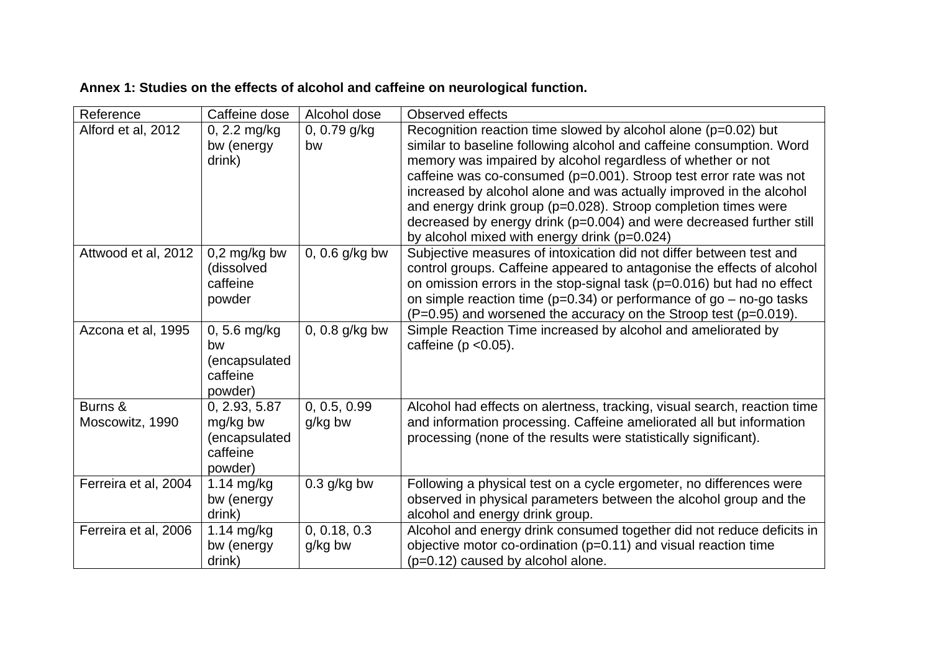| Reference                  | Caffeine dose                                                     | Alcohol dose            | Observed effects                                                                                                                                                                                                                                                                                                                                                                                                                                                                                                                               |
|----------------------------|-------------------------------------------------------------------|-------------------------|------------------------------------------------------------------------------------------------------------------------------------------------------------------------------------------------------------------------------------------------------------------------------------------------------------------------------------------------------------------------------------------------------------------------------------------------------------------------------------------------------------------------------------------------|
| Alford et al, 2012         | 0, 2.2 mg/kg<br>bw (energy<br>drink)                              | 0, 0.79 g/kg<br>bw      | Recognition reaction time slowed by alcohol alone $(p=0.02)$ but<br>similar to baseline following alcohol and caffeine consumption. Word<br>memory was impaired by alcohol regardless of whether or not<br>caffeine was co-consumed (p=0.001). Stroop test error rate was not<br>increased by alcohol alone and was actually improved in the alcohol<br>and energy drink group (p=0.028). Stroop completion times were<br>decreased by energy drink (p=0.004) and were decreased further still<br>by alcohol mixed with energy drink (p=0.024) |
| Attwood et al, 2012        | $0,2$ mg/kg bw<br>(dissolved<br>caffeine<br>powder                | $0, 0.6$ g/kg bw        | Subjective measures of intoxication did not differ between test and<br>control groups. Caffeine appeared to antagonise the effects of alcohol<br>on omission errors in the stop-signal task (p=0.016) but had no effect<br>on simple reaction time ( $p=0.34$ ) or performance of $go$ – no-go tasks<br>$(P=0.95)$ and worsened the accuracy on the Stroop test (p=0.019).                                                                                                                                                                     |
| Azcona et al, 1995         | $0, 5.6$ mg/kg<br>bw<br>(encapsulated<br>caffeine<br>powder)      | $0, 0.8$ g/kg bw        | Simple Reaction Time increased by alcohol and ameliorated by<br>caffeine ( $p < 0.05$ ).                                                                                                                                                                                                                                                                                                                                                                                                                                                       |
| Burns &<br>Moscowitz, 1990 | 0, 2.93, 5.87<br>mg/kg bw<br>(encapsulated<br>caffeine<br>powder) | 0, 0.5, 0.99<br>g/kg bw | Alcohol had effects on alertness, tracking, visual search, reaction time<br>and information processing. Caffeine ameliorated all but information<br>processing (none of the results were statistically significant).                                                                                                                                                                                                                                                                                                                           |
| Ferreira et al, 2004       | $1.14$ mg/kg<br>bw (energy<br>drink)                              | $0.3$ g/kg bw           | Following a physical test on a cycle ergometer, no differences were<br>observed in physical parameters between the alcohol group and the<br>alcohol and energy drink group.                                                                                                                                                                                                                                                                                                                                                                    |
| Ferreira et al, 2006       | 1.14 mg/kg<br>bw (energy<br>drink)                                | 0, 0.18, 0.3<br>g/kg bw | Alcohol and energy drink consumed together did not reduce deficits in<br>objective motor co-ordination ( $p=0.11$ ) and visual reaction time<br>(p=0.12) caused by alcohol alone.                                                                                                                                                                                                                                                                                                                                                              |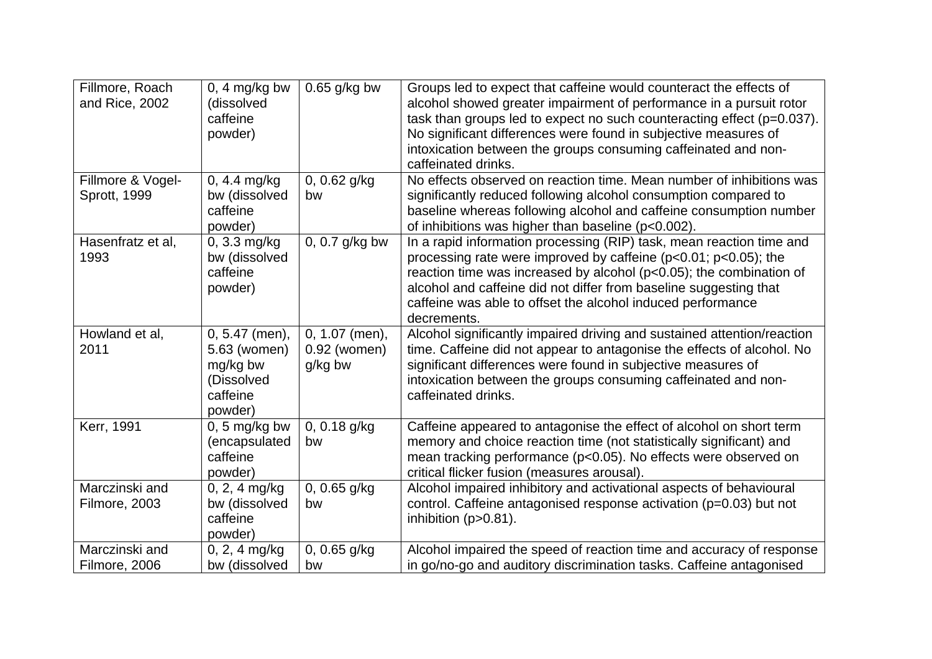| Fillmore, Roach   | $0, 4$ mg/kg bw  | $0.65$ g/kg bw | Groups led to expect that caffeine would counteract the effects of      |
|-------------------|------------------|----------------|-------------------------------------------------------------------------|
| and Rice, 2002    | (dissolved       |                | alcohol showed greater impairment of performance in a pursuit rotor     |
|                   | caffeine         |                | task than groups led to expect no such counteracting effect (p=0.037).  |
|                   | powder)          |                | No significant differences were found in subjective measures of         |
|                   |                  |                | intoxication between the groups consuming caffeinated and non-          |
|                   |                  |                | caffeinated drinks.                                                     |
| Fillmore & Vogel- | 0, 4.4 mg/kg     | 0, 0.62 g/kg   | No effects observed on reaction time. Mean number of inhibitions was    |
| Sprott, 1999      | bw (dissolved    | bw             | significantly reduced following alcohol consumption compared to         |
|                   | caffeine         |                | baseline whereas following alcohol and caffeine consumption number      |
|                   | powder)          |                | of inhibitions was higher than baseline (p<0.002).                      |
| Hasenfratz et al, | 0, 3.3 mg/kg     | 0, 0.7 g/kg bw | In a rapid information processing (RIP) task, mean reaction time and    |
| 1993              | bw (dissolved    |                | processing rate were improved by caffeine (p<0.01; p<0.05); the         |
|                   | caffeine         |                | reaction time was increased by alcohol (p<0.05); the combination of     |
|                   | powder)          |                | alcohol and caffeine did not differ from baseline suggesting that       |
|                   |                  |                | caffeine was able to offset the alcohol induced performance             |
|                   |                  |                | decrements.                                                             |
| Howland et al,    | $0, 5.47$ (men), | 0, 1.07 (men), | Alcohol significantly impaired driving and sustained attention/reaction |
| 2011              | 5.63 (women)     | 0.92 (women)   | time. Caffeine did not appear to antagonise the effects of alcohol. No  |
|                   | mg/kg bw         | g/kg bw        | significant differences were found in subjective measures of            |
|                   | (Dissolved       |                | intoxication between the groups consuming caffeinated and non-          |
|                   | caffeine         |                | caffeinated drinks.                                                     |
|                   | powder)          |                |                                                                         |
| Kerr, 1991        | $0, 5$ mg/kg bw  | 0, 0.18 g/kg   | Caffeine appeared to antagonise the effect of alcohol on short term     |
|                   | (encapsulated    | bw             | memory and choice reaction time (not statistically significant) and     |
|                   | caffeine         |                | mean tracking performance (p<0.05). No effects were observed on         |
|                   | powder)          |                | critical flicker fusion (measures arousal).                             |
| Marczinski and    | 0, 2, 4 mg/kg    | 0, 0.65 g/kg   | Alcohol impaired inhibitory and activational aspects of behavioural     |
| Filmore, 2003     | bw (dissolved    | bw             | control. Caffeine antagonised response activation (p=0.03) but not      |
|                   | caffeine         |                | inhibition $(p>0.81)$ .                                                 |
|                   | powder)          |                |                                                                         |
| Marczinski and    | $0, 2, 4$ mg/kg  | $0, 0.65$ g/kg | Alcohol impaired the speed of reaction time and accuracy of response    |
| Filmore, 2006     | bw (dissolved    | bw             | in go/no-go and auditory discrimination tasks. Caffeine antagonised     |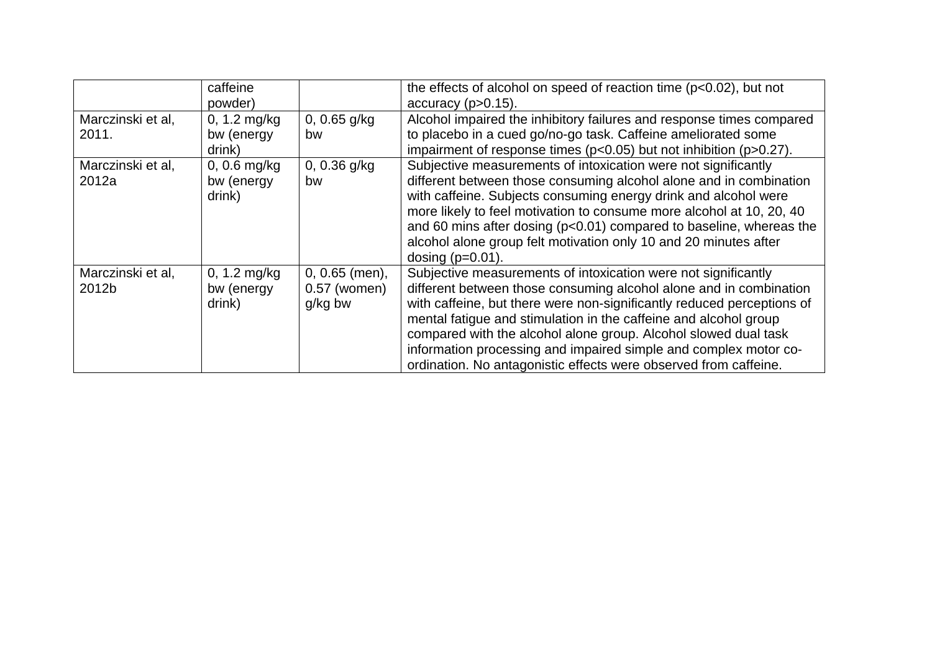|                            | caffeine<br>powder)                    |                                               | the effects of alcohol on speed of reaction time $(p<0.02)$ , but not<br>$accuracy (p > 0.15)$ .                                                                                                                                                                                                                                                                                                                                                                                              |
|----------------------------|----------------------------------------|-----------------------------------------------|-----------------------------------------------------------------------------------------------------------------------------------------------------------------------------------------------------------------------------------------------------------------------------------------------------------------------------------------------------------------------------------------------------------------------------------------------------------------------------------------------|
| Marczinski et al,<br>2011. | $0, 1.2$ mg/kg<br>bw (energy<br>drink) | 0, $0.65$ g/kg<br>bw                          | Alcohol impaired the inhibitory failures and response times compared<br>to placebo in a cued go/no-go task. Caffeine ameliorated some<br>impairment of response times ( $p<0.05$ ) but not inhibition ( $p>0.27$ ).                                                                                                                                                                                                                                                                           |
| Marczinski et al,<br>2012a | 0, 0.6 $mg/kg$<br>bw (energy<br>drink) | 0, 0.36 $q/kg$<br>bw                          | Subjective measurements of intoxication were not significantly<br>different between those consuming alcohol alone and in combination<br>with caffeine. Subjects consuming energy drink and alcohol were<br>more likely to feel motivation to consume more alcohol at 10, 20, 40<br>and 60 mins after dosing (p<0.01) compared to baseline, whereas the<br>alcohol alone group felt motivation only 10 and 20 minutes after<br>dosing $(p=0.01)$ .                                             |
| Marczinski et al,<br>2012b | 0, 1.2 $mg/kg$<br>bw (energy<br>drink) | $0, 0.65$ (men),<br>$0.57$ (women)<br>g/kg bw | Subjective measurements of intoxication were not significantly<br>different between those consuming alcohol alone and in combination<br>with caffeine, but there were non-significantly reduced perceptions of<br>mental fatigue and stimulation in the caffeine and alcohol group<br>compared with the alcohol alone group. Alcohol slowed dual task<br>information processing and impaired simple and complex motor co-<br>ordination. No antagonistic effects were observed from caffeine. |